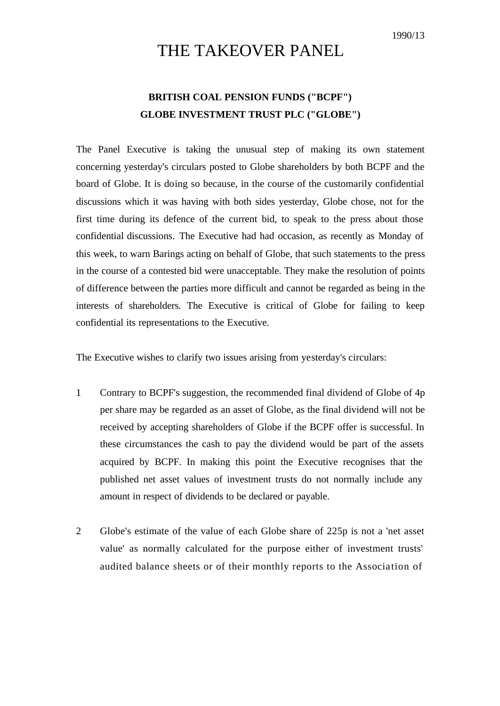## THE TAKEOVER PANEL

## **BRITISH COAL PENSION FUNDS ("BCPF") GLOBE INVESTMENT TRUST PLC ("GLOBE")**

The Panel Executive is taking the unusual step of making its own statement concerning yesterday's circulars posted to Globe shareholders by both BCPF and the board of Globe. It is doing so because, in the course of the customarily confidential discussions which it was having with both sides yesterday, Globe chose, not for the first time during its defence of the current bid, to speak to the press about those confidential discussions. The Executive had had occasion, as recently as Monday of this week, to warn Barings acting on behalf of Globe, that such statements to the press in the course of a contested bid were unacceptable. They make the resolution of points of difference between the parties more difficult and cannot be regarded as being in the interests of shareholders. The Executive is critical of Globe for failing to keep confidential its representations to the Executive.

The Executive wishes to clarify two issues arising from yesterday's circulars:

- 1 Contrary to BCPF's suggestion, the recommended final dividend of Globe of 4p per share may be regarded as an asset of Globe, as the final dividend will not be received by accepting shareholders of Globe if the BCPF offer is successful. In these circumstances the cash to pay the dividend would be part of the assets acquired by BCPF. In making this point the Executive recognises that the published net asset values of investment trusts do not normally include any amount in respect of dividends to be declared or payable.
- 2 Globe's estimate of the value of each Globe share of 225p is not a 'net asset value' as normally calculated for the purpose either of investment trusts' audited balance sheets or of their monthly reports to the Association of